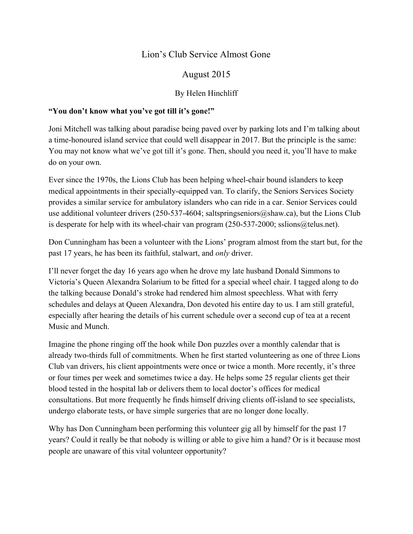# Lion's Club Service Almost Gone

## August 2015

## By Helen Hinchliff

### **"You don't know what you've got till it's gone!"**

Joni Mitchell was talking about paradise being paved over by parking lots and I'm talking about a time-honoured island service that could well disappear in 2017. But the principle is the same: You may not know what we've got till it's gone. Then, should you need it, you'll have to make do on your own.

Ever since the 1970s, the Lions Club has been helping wheel-chair bound islanders to keep medical appointments in their specially-equipped van. To clarify, the Seniors Services Society provides a similar service for ambulatory islanders who can ride in a car. Senior Services could use additional volunteer drivers (250-537-4604; saltspringseniors $\omega$ shaw.ca), but the Lions Club is desperate for help with its wheel-chair van program  $(250-537-2000;$  sslions@telus.net).

Don Cunningham has been a volunteer with the Lions' program almost from the start but, for the past 17 years, he has been its faithful, stalwart, and *only* driver.

I'll never forget the day 16 years ago when he drove my late husband Donald Simmons to Victoria's Queen Alexandra Solarium to be fitted for a special wheel chair. I tagged along to do the talking because Donald's stroke had rendered him almost speechless. What with ferry schedules and delays at Queen Alexandra, Don devoted his entire day to us. I am still grateful, especially after hearing the details of his current schedule over a second cup of tea at a recent Music and Munch.

Imagine the phone ringing off the hook while Don puzzles over a monthly calendar that is already two-thirds full of commitments. When he first started volunteering as one of three Lions Club van drivers, his client appointments were once or twice a month. More recently, it's three or four times per week and sometimes twice a day. He helps some 25 regular clients get their blood tested in the hospital lab or delivers them to local doctor's offices for medical consultations. But more frequently he finds himself driving clients off-island to see specialists, undergo elaborate tests, or have simple surgeries that are no longer done locally.

Why has Don Cunningham been performing this volunteer gig all by himself for the past 17 years? Could it really be that nobody is willing or able to give him a hand? Or is it because most people are unaware of this vital volunteer opportunity?